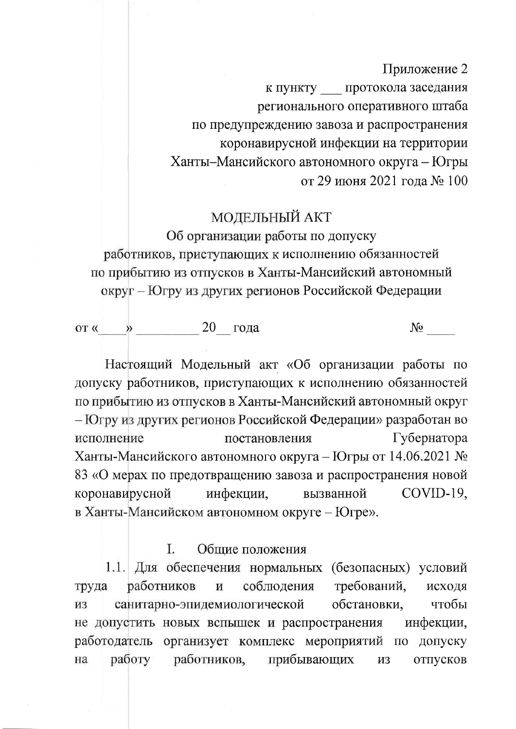Приложение 2 к пункту протокола заседания регионального оперативного штаба по предупреждению завоза и распространения коронавирусной инфекции на территории Ханты-Мансийского автономного округа - Югры от 29 июня 2021 года № 100

# **МОДЕЛЬНЫЙ АКТ**

Об организации работы по допуску работников, приступающих к исполнению обязанностей по прибытию из отпусков в Ханты-Мансийский автономный округ – Югру из других регионов Российской Федерации

от «  $\rightarrow$  20 года

Настоящий Модельный акт «Об организации работы по допуску работников, приступающих к исполнению обязанностей по прибытию из отпусков в Ханты-Мансийский автономный округ - Югру из других регионов Российской Федерации» разработан во Губернатора исполнение постановления Ханты-Мансийского автономного округа – Югры от 14.06.2021 № 83 «О мерах по предотвращению завоза и распространения новой COVID-19, коронавирусной инфекции, вызванной в Ханты-Мансийском автономном округе - Югре».

#### I. Общие положения

1.1. Для обеспечения нормальных (безопасных) условий работников требований, соблюдения труда  $\overline{\mathbf{M}}$ исходя санитарно-эпидемиологической обстановки, чтобы И3 не допустить новых вспышек и распространения инфекции, работодатель организует комплекс мероприятий по допуску работников, работу прибывающих отпусков на **ИЗ**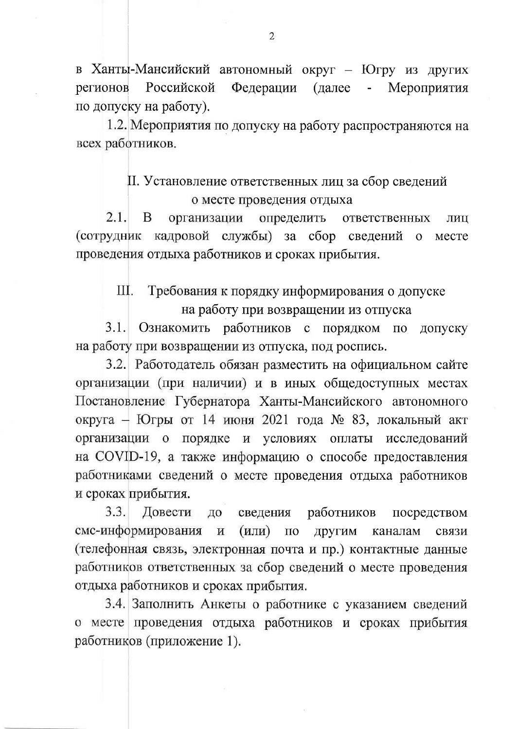в Ханты-Мансийский автономный округ - Югру из других регионов Российской Федерации (далее Мероприятия по допуску на работу).

1.2. Мероприятия по допуску на работу распространяются на всех работников.

# II. Установление ответственных лиц за сбор сведений о месте проведения отдыха

 $2.1.$ B организации определить ответственных ЛИЦ (сотрудник кадровой службы) за сбор сведений  $\mathbf{O}$ месте проведения отдыха работников и сроках прибытия.

#### Ш. Требования к порядку информирования о допуске на работу при возвращении из отпуска

Ознакомить работников с порядком по  $3.1.$ допуску на работу при возвращении из отпуска, под роспись.

3.2. Работодатель обязан разместить на официальном сайте организации (при наличии) и в иных общедоступных местах Постановление Губернатора Ханты-Мансийского автономного округа - Югры от 14 июня 2021 года № 83, локальный акт организации о порядке и условиях оплаты исследований на COVID-19, а также информацию о способе предоставления работниками сведений о месте проведения отдыха работников и сроках прибытия.

 $3.3.$ Довести сведения работников ДО посредством смс-информирования  $\mathbf H$  $(MJI)$  $\Pi$ <sup>o</sup> другим каналам связи (телефонная связь, электронная почта и пр.) контактные данные работников ответственных за сбор сведений о месте проведения отдыха работников и сроках прибытия.

3.4. Заполнить Анкеты о работнике с указанием сведений о месте проведения отдыха работников и сроках прибытия работников (приложение 1).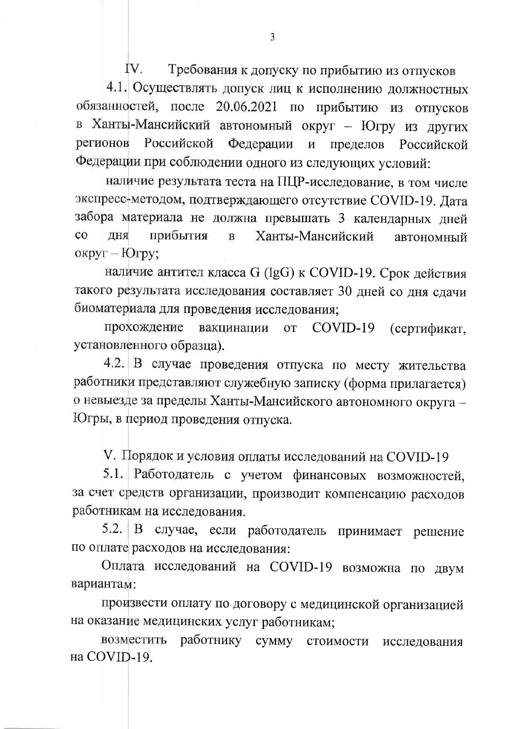IV. Требования к допуску по прибытию из отпусков

4.1. Осуществлять допуск лиц к исполнению должностных обязанностей, после 20.06.2021 по прибытию из отпусков в Ханты-Мансийский автономный округ - Югру из других регионов Российской Федерации  $\boldsymbol{\mathrm{M}}$ пределов Российской Федерации при соблюдении одного из следующих условий:

наличие результата теста на ПЦР-исследование, в том числе экспресс-методом, подтверждающего отсутствие COVID-19. Дата забора материала не должна превышать 3 календарных дней  $_{\rm CO}$ прибытия Ханты-Мансийский ЛНЯ  $\mathbf{B}$ автономный округ - Югру;

наличие антител класса G (IgG) к COVID-19. Срок действия такого результата исследования составляет 30 дней со дня сдачи биоматериала для проведения исследования;

прохождение вакцинации COVID-19 (сертификат, **OT** установленного образца).

4.2. В случае проведения отпуска по месту жительства работники представляют служебную записку (форма прилагается) о невыезде за пределы Ханты-Мансийского автономного округа -Югры, в период проведения отпуска.

V. Порядок и условия оплаты исследований на COVID-19

5.1. Работодатель с учетом финансовых возможностей, за счет средств организации, производит компенсацию расходов работникам на исследования.

случае, если работодатель  $5.2.$ B принимает решение по оплате расходов на исследования:

Оплата исследований на COVID-19 возможна по двум вариантам:

произвести оплату по договору с медицинской организацией на оказание медицинских услуг работникам;

работнику сумму стоимости возместить исследования на COVID-19.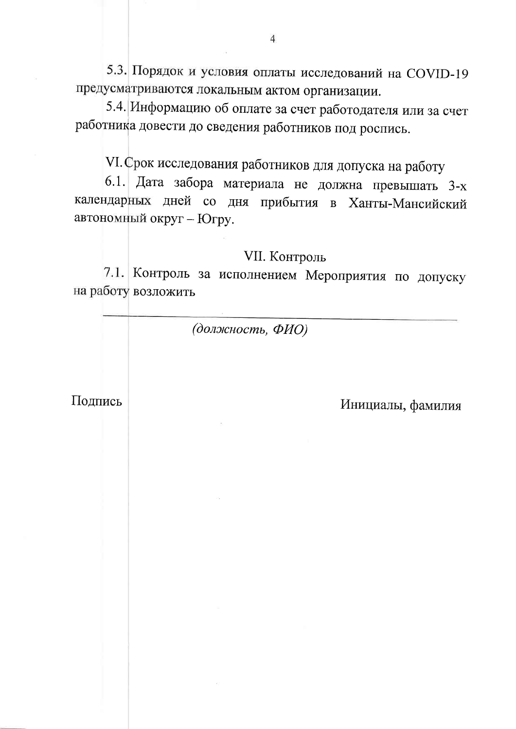5.3. Порядок и условия оплаты исследований на COVID-19 предусматриваются локальным актом организации.

5.4. Информацию об оплате за счет работодателя или за счет работника довести до сведения работников под роспись.

VI. Срок исследования работников для допуска на работу

6.1. Дата забора материала не должна превышать 3-х календарных дней со дня прибытия в Ханты-Мансийский автономный округ - Югру.

# VII. Контроль

7.1. Контроль за исполнением Мероприятия по допуску на работу возложить

(должность, ФИО)

Подпись

Инициалы, фамилия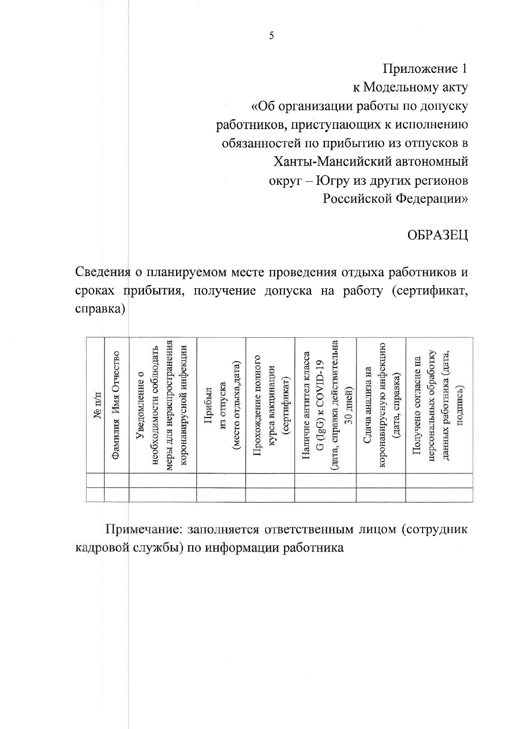Приложение 1 к Модельному акту «Об организации работы по допуску работников, приступающих к исполнению обязанностей по прибытию из отпусков в Ханты-Мансийский автономный округ - Югру из других регионов Российской Федерации»

# ОБРАЗЕЦ

Сведения о планируемом месте проведения отдыха работников и сроках прибытия, получение допуска на работу (сертификат, справка)

| (дата, справка действительна<br>меры для нераспространения<br>коронавирусную инфекцию<br>коронавирусной инфекции<br>необходимости соблюдать<br>персональных обработку<br>данных работника (дата,<br>Наличие антител класса<br>Прохождение полного<br>Получено согласие на<br>$G$ ( $lgG$ ) $\kappa$ COVID-19<br>(место отдыха,дата)<br>курса вакцинации<br>Сдача анализа на<br>Уведомление о<br>(дата, справка)<br>(сертификат)<br>из отпуска<br>подпись)<br>30 дней)<br>Прибыл | $N_{\rm e}$ $\pi/\pi$ |
|---------------------------------------------------------------------------------------------------------------------------------------------------------------------------------------------------------------------------------------------------------------------------------------------------------------------------------------------------------------------------------------------------------------------------------------------------------------------------------|-----------------------|
|                                                                                                                                                                                                                                                                                                                                                                                                                                                                                 | Фамилия Имя Отчество  |
|                                                                                                                                                                                                                                                                                                                                                                                                                                                                                 |                       |
|                                                                                                                                                                                                                                                                                                                                                                                                                                                                                 |                       |
|                                                                                                                                                                                                                                                                                                                                                                                                                                                                                 |                       |
|                                                                                                                                                                                                                                                                                                                                                                                                                                                                                 |                       |
|                                                                                                                                                                                                                                                                                                                                                                                                                                                                                 |                       |
|                                                                                                                                                                                                                                                                                                                                                                                                                                                                                 |                       |
|                                                                                                                                                                                                                                                                                                                                                                                                                                                                                 |                       |
|                                                                                                                                                                                                                                                                                                                                                                                                                                                                                 |                       |
|                                                                                                                                                                                                                                                                                                                                                                                                                                                                                 |                       |
|                                                                                                                                                                                                                                                                                                                                                                                                                                                                                 |                       |
|                                                                                                                                                                                                                                                                                                                                                                                                                                                                                 |                       |
|                                                                                                                                                                                                                                                                                                                                                                                                                                                                                 |                       |
|                                                                                                                                                                                                                                                                                                                                                                                                                                                                                 |                       |
|                                                                                                                                                                                                                                                                                                                                                                                                                                                                                 |                       |
|                                                                                                                                                                                                                                                                                                                                                                                                                                                                                 |                       |
|                                                                                                                                                                                                                                                                                                                                                                                                                                                                                 |                       |
|                                                                                                                                                                                                                                                                                                                                                                                                                                                                                 |                       |
|                                                                                                                                                                                                                                                                                                                                                                                                                                                                                 |                       |
|                                                                                                                                                                                                                                                                                                                                                                                                                                                                                 |                       |
|                                                                                                                                                                                                                                                                                                                                                                                                                                                                                 |                       |
|                                                                                                                                                                                                                                                                                                                                                                                                                                                                                 |                       |

Примечание: заполняется ответственным лицом (сотрудник кадровой службы) по информации работника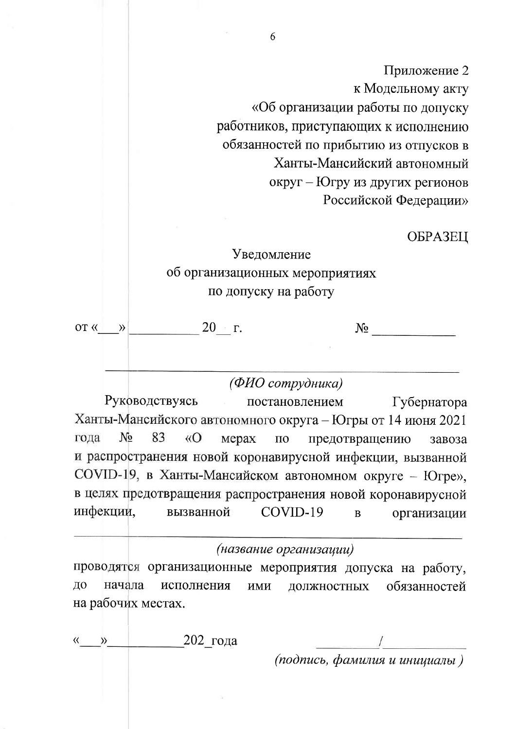Приложение 2 к Модельному акту «Об организации работы по допуску работников, приступающих к исполнению обязанностей по прибытию из отпусков в Ханты-Мансийский автономный округ - Югру из других регионов Российской Федерации»

### ОБРАЗЕЦ

# Уведомление об организационных мероприятиях по допуску на работу

 $20 \times r$ . OT  $\langle \langle \rangle$  $N_{\Omega}$ 

(ФИО сотрудника)

Руководствуясь постановлением Губернатора Ханты-Мансийского автономного округа - Югры от 14 июня 2021  $N<sub>o</sub>$ 83  $\langle \langle$ O гола предотвращению мерах  $\Pi$ <sup>O</sup> завоза и распространения новой коронавирусной инфекции, вызванной COVID-19, в Ханты-Мансийском автономном округе - Югре», в целях предотвращения распространения новой коронавирусной инфекции, вызванной COVID-19  $\overline{B}$ организации

### (название организации)

проводятся организационные мероприятия допуска на работу, ДО начала исполнения обязанностей ИМИ должностных на рабочих местах.

 $202$  года  $\rangle$ 

(подпись, фамилия и инициалы)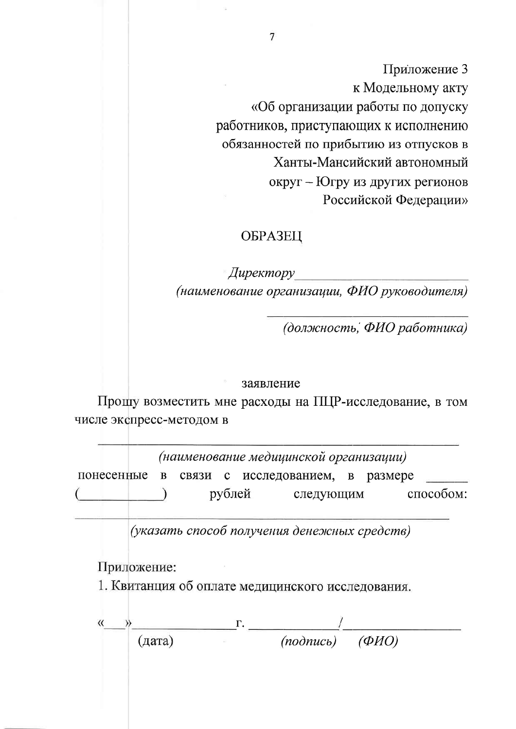Приложение 3 к Модельному акту «Об организации работы по допуску работников, приступающих к исполнению обязанностей по прибытию из отпусков в Ханты-Мансийский автономный округ - Югру из других регионов Российской Федерации»

## ОБРАЗЕЦ

Директору (наименование организации, ФИО руководителя)

(должность, ФИО работника)

#### заявление

Прошу возместить мне расходы на ПЦР-исследование, в том числе экспресс-методом в

(наименование медицинской организации) связи с исследованием, в размере понесенные  $\bf{B}$ способом: рублей следующим

(указать способ получения денежных средств)

Приложение:

1. Квитанция об оплате медицинского исследования.

 $\frac{1}{(nodnuc_b)}$  $(\Phi HO)$  $(\text{qara})$